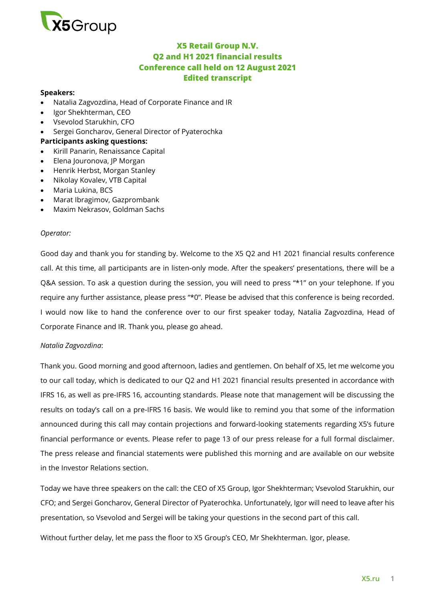

# **X5 Retail Group N.V. Q2 and H1 2021 financial results Conference call held on 12 August 2021 Edited transcript**

#### **Speakers:**

- Natalia Zagvozdina, Head of Corporate Finance and IR
- Igor Shekhterman, CEO
- Vsevolod Starukhin, CFO
- Sergei Goncharov, General Director of Pyaterochka

### **Participants asking questions:**

- Kirill Panarin, Renaissance Capital
- Elena Jouronova, JP Morgan
- Henrik Herbst, Morgan Stanley
- Nikolay Kovalev, VTB Capital
- Maria Lukina, BCS
- Marat Ibragimov, Gazprombank
- Maxim Nekrasov, Goldman Sachs

#### *Operator:*

Good day and thank you for standing by. Welcome to the X5 Q2 and H1 2021 financial results conference call. At this time, all participants are in listen-only mode. After the speakers' presentations, there will be a Q&A session. To ask a question during the session, you will need to press "\*1" on your telephone. If you require any further assistance, please press "\*0". Please be advised that this conference is being recorded. I would now like to hand the conference over to our first speaker today, Natalia Zagvozdina, Head of Corporate Finance and IR. Thank you, please go ahead.

#### *Natalia Zagvozdina*:

Thank you. Good morning and good afternoon, ladies and gentlemen. On behalf of X5, let me welcome you to our call today, which is dedicated to our Q2 and H1 2021 financial results presented in accordance with IFRS 16, as well as pre-IFRS 16, accounting standards. Please note that management will be discussing the results on today's call on a pre-IFRS 16 basis. We would like to remind you that some of the information announced during this call may contain projections and forward-looking statements regarding X5's future financial performance or events. Please refer to page 13 of our press release for a full formal disclaimer. The press release and financial statements were published this morning and are available on our website in the Investor Relations section.

Today we have three speakers on the call: the CEO of X5 Group, Igor Shekhterman; Vsevolod Starukhin, our CFO; and Sergei Goncharov, General Director of Pyaterochka. Unfortunately, Igor will need to leave after his presentation, so Vsevolod and Sergei will be taking your questions in the second part of this call.

Without further delay, let me pass the floor to X5 Group's CEO, Mr Shekhterman. Igor, please.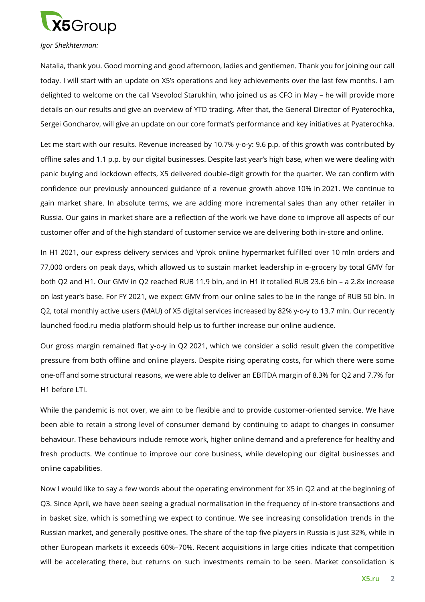

#### *Igor Shekhterman:*

Natalia, thank you. Good morning and good afternoon, ladies and gentlemen. Thank you for joining our call today. I will start with an update on X5's operations and key achievements over the last few months. I am delighted to welcome on the call Vsevolod Starukhin, who joined us as CFO in May – he will provide more details on our results and give an overview of YTD trading. After that, the General Director of Pyaterochka, Sergei Goncharov, will give an update on our core format's performance and key initiatives at Pyaterochka.

Let me start with our results. Revenue increased by 10.7% y-o-y: 9.6 p.p. of this growth was contributed by offline sales and 1.1 p.p. by our digital businesses. Despite last year's high base, when we were dealing with panic buying and lockdown effects, X5 delivered double-digit growth for the quarter. We can confirm with confidence our previously announced guidance of a revenue growth above 10% in 2021. We continue to gain market share. In absolute terms, we are adding more incremental sales than any other retailer in Russia. Our gains in market share are a reflection of the work we have done to improve all aspects of our customer offer and of the high standard of customer service we are delivering both in-store and online.

In H1 2021, our express delivery services and Vprok online hypermarket fulfilled over 10 mln orders and 77,000 orders on peak days, which allowed us to sustain market leadership in e-grocery by total GMV for both Q2 and H1. Our GMV in Q2 reached RUB 11.9 bln, and in H1 it totalled RUB 23.6 bln – a 2.8x increase on last year's base. For FY 2021, we expect GMV from our online sales to be in the range of RUB 50 bln. In Q2, total monthly active users (MAU) of X5 digital services increased by 82% y-o-y to 13.7 mln. Our recently launched food.ru media platform should help us to further increase our online audience.

Our gross margin remained flat y-o-y in Q2 2021, which we consider a solid result given the competitive pressure from both offline and online players. Despite rising operating costs, for which there were some one-off and some structural reasons, we were able to deliver an EBITDA margin of 8.3% for Q2 and 7.7% for H1 before LTI.

While the pandemic is not over, we aim to be flexible and to provide customer-oriented service. We have been able to retain a strong level of consumer demand by continuing to adapt to changes in consumer behaviour. These behaviours include remote work, higher online demand and a preference for healthy and fresh products. We continue to improve our core business, while developing our digital businesses and online capabilities.

Now I would like to say a few words about the operating environment for X5 in Q2 and at the beginning of Q3. Since April, we have been seeing a gradual normalisation in the frequency of in-store transactions and in basket size, which is something we expect to continue. We see increasing consolidation trends in the Russian market, and generally positive ones. The share of the top five players in Russia is just 32%, while in other European markets it exceeds 60%–70%. Recent acquisitions in large cities indicate that competition will be accelerating there, but returns on such investments remain to be seen. Market consolidation is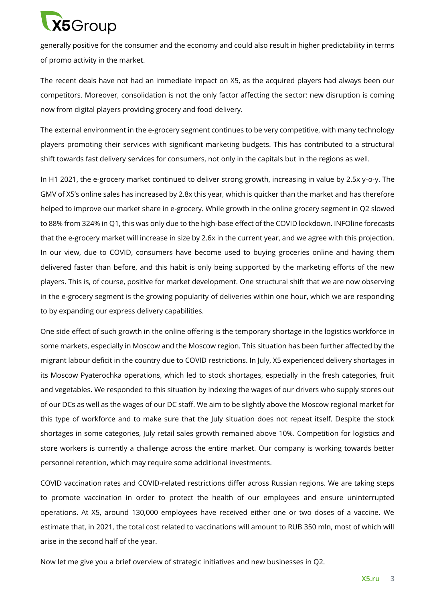# $X5G$ roup

generally positive for the consumer and the economy and could also result in higher predictability in terms of promo activity in the market.

The recent deals have not had an immediate impact on X5, as the acquired players had always been our competitors. Moreover, consolidation is not the only factor affecting the sector: new disruption is coming now from digital players providing grocery and food delivery.

The external environment in the e-grocery segment continues to be very competitive, with many technology players promoting their services with significant marketing budgets. This has contributed to a structural shift towards fast delivery services for consumers, not only in the capitals but in the regions as well.

In H1 2021, the e-grocery market continued to deliver strong growth, increasing in value by 2.5x y-o-y. The GMV of X5's online sales has increased by 2.8x this year, which is quicker than the market and has therefore helped to improve our market share in e-grocery. While growth in the online grocery segment in Q2 slowed to 88% from 324% in Q1, this was only due to the high-base effect of the COVID lockdown. INFOline forecasts that the e-grocery market will increase in size by 2.6x in the current year, and we agree with this projection. In our view, due to COVID, consumers have become used to buying groceries online and having them delivered faster than before, and this habit is only being supported by the marketing efforts of the new players. This is, of course, positive for market development. One structural shift that we are now observing in the e-grocery segment is the growing popularity of deliveries within one hour, which we are responding to by expanding our express delivery capabilities.

One side effect of such growth in the online offering is the temporary shortage in the logistics workforce in some markets, especially in Moscow and the Moscow region. This situation has been further affected by the migrant labour deficit in the country due to COVID restrictions. In July, X5 experienced delivery shortages in its Moscow Pyaterochka operations, which led to stock shortages, especially in the fresh categories, fruit and vegetables. We responded to this situation by indexing the wages of our drivers who supply stores out of our DCs as well as the wages of our DC staff. We aim to be slightly above the Moscow regional market for this type of workforce and to make sure that the July situation does not repeat itself. Despite the stock shortages in some categories, July retail sales growth remained above 10%. Competition for logistics and store workers is currently a challenge across the entire market. Our company is working towards better personnel retention, which may require some additional investments.

COVID vaccination rates and COVID-related restrictions differ across Russian regions. We are taking steps to promote vaccination in order to protect the health of our employees and ensure uninterrupted operations. At X5, around 130,000 employees have received either one or two doses of a vaccine. We estimate that, in 2021, the total cost related to vaccinations will amount to RUB 350 mln, most of which will arise in the second half of the year.

Now let me give you a brief overview of strategic initiatives and new businesses in Q2.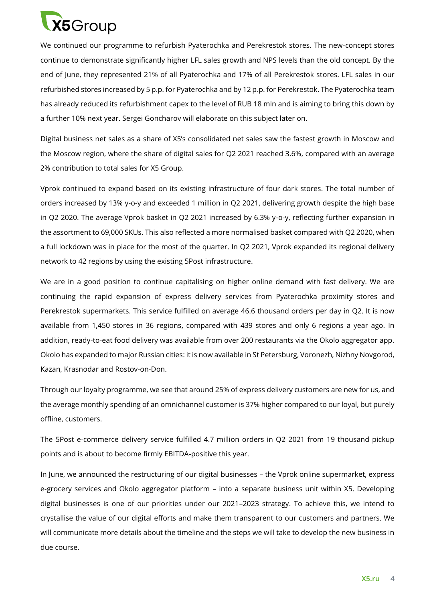

We continued our programme to refurbish Pyaterochka and Perekrestok stores. The new-concept stores continue to demonstrate significantly higher LFL sales growth and NPS levels than the old concept. By the end of June, they represented 21% of all Pyaterochka and 17% of all Perekrestok stores. LFL sales in our refurbished stores increased by 5 p.p. for Pyaterochka and by 12 p.p. for Perekrestok. The Pyaterochka team has already reduced its refurbishment capex to the level of RUB 18 mln and is aiming to bring this down by a further 10% next year. Sergei Goncharov will elaborate on this subject later on.

Digital business net sales as a share of X5's consolidated net sales saw the fastest growth in Moscow and the Moscow region, where the share of digital sales for Q2 2021 reached 3.6%, compared with an average 2% contribution to total sales for X5 Group.

Vprok continued to expand based on its existing infrastructure of four dark stores. The total number of orders increased by 13% y-o-y and exceeded 1 million in Q2 2021, delivering growth despite the high base in Q2 2020. The average Vprok basket in Q2 2021 increased by 6.3% y-o-y, reflecting further expansion in the assortment to 69,000 SKUs. This also reflected a more normalised basket compared with Q2 2020, when a full lockdown was in place for the most of the quarter. In Q2 2021, Vprok expanded its regional delivery network to 42 regions by using the existing 5Post infrastructure.

We are in a good position to continue capitalising on higher online demand with fast delivery. We are continuing the rapid expansion of express delivery services from Pyaterochka proximity stores and Perekrestok supermarkets. This service fulfilled on average 46.6 thousand orders per day in Q2. It is now available from 1,450 stores in 36 regions, compared with 439 stores and only 6 regions a year ago. In addition, ready-to-eat food delivery was available from over 200 restaurants via the Okolo aggregator app. Okolo has expanded to major Russian cities: it is now available in St Petersburg, Voronezh, Nizhny Novgorod, Kazan, Krasnodar and Rostov-on-Don.

Through our loyalty programme, we see that around 25% of express delivery customers are new for us, and the average monthly spending of an omnichannel customer is 37% higher compared to our loyal, but purely offline, customers.

The 5Post e-commerce delivery service fulfilled 4.7 million orders in Q2 2021 from 19 thousand pickup points and is about to become firmly EBITDA-positive this year.

In June, we announced the restructuring of our digital businesses – the Vprok online supermarket, express e-grocery services and Okolo aggregator platform – into a separate business unit within X5. Developing digital businesses is one of our priorities under our 2021–2023 strategy. To achieve this, we intend to crystallise the value of our digital efforts and make them transparent to our customers and partners. We will communicate more details about the timeline and the steps we will take to develop the new business in due course.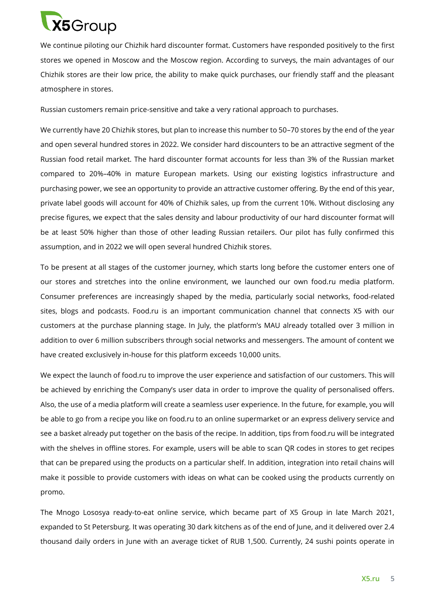

We continue piloting our Chizhik hard discounter format. Customers have responded positively to the first stores we opened in Moscow and the Moscow region. According to surveys, the main advantages of our Chizhik stores are their low price, the ability to make quick purchases, our friendly staff and the pleasant atmosphere in stores.

Russian customers remain price-sensitive and take a very rational approach to purchases.

We currently have 20 Chizhik stores, but plan to increase this number to 50–70 stores by the end of the year and open several hundred stores in 2022. We consider hard discounters to be an attractive segment of the Russian food retail market. The hard discounter format accounts for less than 3% of the Russian market compared to 20%–40% in mature European markets. Using our existing logistics infrastructure and purchasing power, we see an opportunity to provide an attractive customer offering. By the end of this year, private label goods will account for 40% of Chizhik sales, up from the current 10%. Without disclosing any precise figures, we expect that the sales density and labour productivity of our hard discounter format will be at least 50% higher than those of other leading Russian retailers. Our pilot has fully confirmed this assumption, and in 2022 we will open several hundred Chizhik stores.

To be present at all stages of the customer journey, which starts long before the customer enters one of our stores and stretches into the online environment, we launched our own food.ru media platform. Consumer preferences are increasingly shaped by the media, particularly social networks, food-related sites, blogs and podcasts. Food.ru is an important communication channel that connects X5 with our customers at the purchase planning stage. In July, the platform's MAU already totalled over 3 million in addition to over 6 million subscribers through social networks and messengers. The amount of content we have created exclusively in-house for this platform exceeds 10,000 units.

We expect the launch of food.ru to improve the user experience and satisfaction of our customers. This will be achieved by enriching the Company's user data in order to improve the quality of personalised offers. Also, the use of a media platform will create a seamless user experience. In the future, for example, you will be able to go from a recipe you like on food.ru to an online supermarket or an express delivery service and see a basket already put together on the basis of the recipe. In addition, tips from food.ru will be integrated with the shelves in offline stores. For example, users will be able to scan QR codes in stores to get recipes that can be prepared using the products on a particular shelf. In addition, integration into retail chains will make it possible to provide customers with ideas on what can be cooked using the products currently on promo.

The Mnogo Lososya ready-to-eat online service, which became part of X5 Group in late March 2021, expanded to St Petersburg. It was operating 30 dark kitchens as of the end of June, and it delivered over 2.4 thousand daily orders in June with an average ticket of RUB 1,500. Currently, 24 sushi points operate in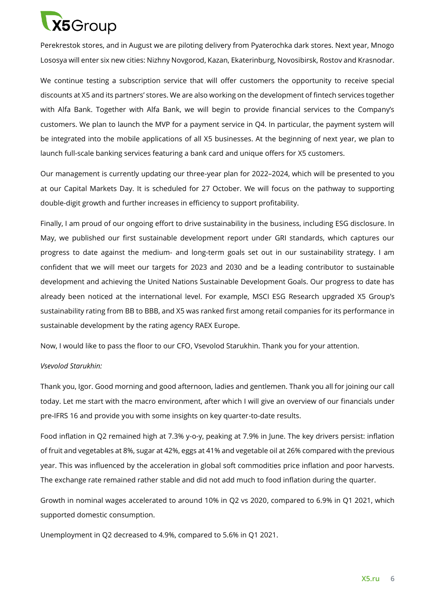

Perekrestok stores, and in August we are piloting delivery from Pyaterochka dark stores. Next year, Mnogo Lososya will enter six new cities: Nizhny Novgorod, Kazan, Ekaterinburg, Novosibirsk, Rostov and Krasnodar.

We continue testing a subscription service that will offer customers the opportunity to receive special discounts at X5 and its partners' stores. We are also working on the development of fintech services together with Alfa Bank. Together with Alfa Bank, we will begin to provide financial services to the Company's customers. We plan to launch the MVP for a payment service in Q4. In particular, the payment system will be integrated into the mobile applications of all X5 businesses. At the beginning of next year, we plan to launch full-scale banking services featuring a bank card and unique offers for X5 customers.

Our management is currently updating our three-year plan for 2022–2024, which will be presented to you at our Capital Markets Day. It is scheduled for 27 October. We will focus on the pathway to supporting double-digit growth and further increases in efficiency to support profitability.

Finally, I am proud of our ongoing effort to drive sustainability in the business, including ESG disclosure. In May, we published our first sustainable development report under GRI standards, which captures our progress to date against the medium- and long-term goals set out in our sustainability strategy. I am confident that we will meet our targets for 2023 and 2030 and be a leading contributor to sustainable development and achieving the United Nations Sustainable Development Goals. Our progress to date has already been noticed at the international level. For example, MSCI ESG Research upgraded X5 Group's sustainability rating from BB to BBB, and X5 was ranked first among retail companies for its performance in sustainable development by the rating agency RAEX Europe.

Now, I would like to pass the floor to our CFO, Vsevolod Starukhin. Thank you for your attention.

#### *Vsevolod Starukhin:*

Thank you, Igor. Good morning and good afternoon, ladies and gentlemen. Thank you all for joining our call today. Let me start with the macro environment, after which I will give an overview of our financials under pre-IFRS 16 and provide you with some insights on key quarter-to-date results.

Food inflation in Q2 remained high at 7.3% y-o-y, peaking at 7.9% in June. The key drivers persist: inflation of fruit and vegetables at 8%, sugar at 42%, eggs at 41% and vegetable oil at 26% compared with the previous year. This was influenced by the acceleration in global soft commodities price inflation and poor harvests. The exchange rate remained rather stable and did not add much to food inflation during the quarter.

Growth in nominal wages accelerated to around 10% in Q2 vs 2020, compared to 6.9% in Q1 2021, which supported domestic consumption.

Unemployment in Q2 decreased to 4.9%, compared to 5.6% in Q1 2021.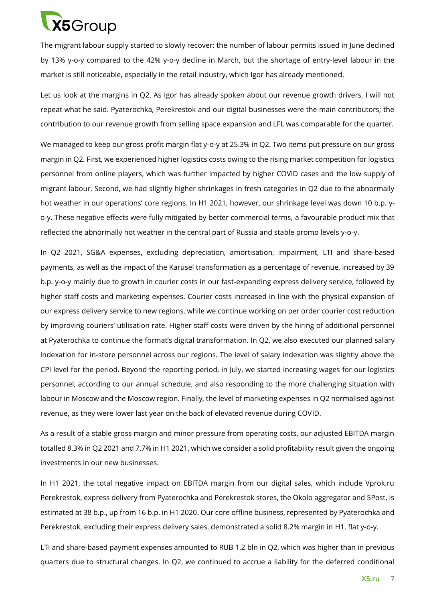

The migrant labour supply started to slowly recover: the number of labour permits issued in June declined by 13% y-o-y compared to the 42% y-o-y decline in March, but the shortage of entry-level labour in the market is still noticeable, especially in the retail industry, which Igor has already mentioned.

Let us look at the margins in Q2. As Igor has already spoken about our revenue growth drivers, I will not repeat what he said. Pyaterochka, Perekrestok and our digital businesses were the main contributors; the contribution to our revenue growth from selling space expansion and LFL was comparable for the quarter.

We managed to keep our gross profit margin flat y-o-y at 25.3% in Q2. Two items put pressure on our gross margin in Q2. First, we experienced higher logistics costs owing to the rising market competition for logistics personnel from online players, which was further impacted by higher COVID cases and the low supply of migrant labour. Second, we had slightly higher shrinkages in fresh categories in Q2 due to the abnormally hot weather in our operations' core regions. In H1 2021, however, our shrinkage level was down 10 b.p. yo-y. These negative effects were fully mitigated by better commercial terms, a favourable product mix that reflected the abnormally hot weather in the central part of Russia and stable promo levels y-o-y.

In Q2 2021, SG&A expenses, excluding depreciation, amortisation, impairment, LTI and share-based payments, as well as the impact of the Karusel transformation as a percentage of revenue, increased by 39 b.p. y-o-y mainly due to growth in courier costs in our fast-expanding express delivery service, followed by higher staff costs and marketing expenses. Courier costs increased in line with the physical expansion of our express delivery service to new regions, while we continue working on per order courier cost reduction by improving couriers' utilisation rate. Higher staff costs were driven by the hiring of additional personnel at Pyaterochka to continue the format's digital transformation. In Q2, we also executed our planned salary indexation for in-store personnel across our regions. The level of salary indexation was slightly above the CPI level for the period. Beyond the reporting period, in July, we started increasing wages for our logistics personnel, according to our annual schedule, and also responding to the more challenging situation with labour in Moscow and the Moscow region. Finally, the level of marketing expenses in Q2 normalised against revenue, as they were lower last year on the back of elevated revenue during COVID.

As a result of a stable gross margin and minor pressure from operating costs, our adjusted EBITDA margin totalled 8.3% in Q2 2021 and 7.7% in H1 2021, which we consider a solid profitability result given the ongoing investments in our new businesses.

In H1 2021, the total negative impact on EBITDA margin from our digital sales, which include Vprok.ru Perekrestok, express delivery from Pyaterochka and Perekrestok stores, the Okolo aggregator and 5Post, is estimated at 38 b.p., up from 16 b.p. in H1 2020. Our core offline business, represented by Pyaterochka and Perekrestok, excluding their express delivery sales, demonstrated a solid 8.2% margin in H1, flat y-o-y.

LTI and share-based payment expenses amounted to RUB 1.2 bln in Q2, which was higher than in previous quarters due to structural changes. In Q2, we continued to accrue a liability for the deferred conditional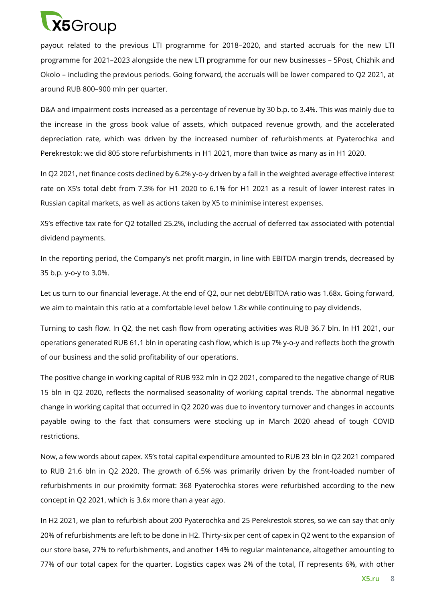

payout related to the previous LTI programme for 2018–2020, and started accruals for the new LTI programme for 2021–2023 alongside the new LTI programme for our new businesses – 5Post, Chizhik and Okolo – including the previous periods. Going forward, the accruals will be lower compared to Q2 2021, at around RUB 800–900 mln per quarter.

D&A and impairment costs increased as a percentage of revenue by 30 b.p. to 3.4%. This was mainly due to the increase in the gross book value of assets, which outpaced revenue growth, and the accelerated depreciation rate, which was driven by the increased number of refurbishments at Pyaterochka and Perekrestok: we did 805 store refurbishments in H1 2021, more than twice as many as in H1 2020.

In Q2 2021, net finance costs declined by 6.2% y-o-y driven by a fall in the weighted average effective interest rate on X5's total debt from 7.3% for H1 2020 to 6.1% for H1 2021 as a result of lower interest rates in Russian capital markets, as well as actions taken by X5 to minimise interest expenses.

X5's effective tax rate for Q2 totalled 25.2%, including the accrual of deferred tax associated with potential dividend payments.

In the reporting period, the Company's net profit margin, in line with EBITDA margin trends, decreased by 35 b.p. y-o-y to 3.0%.

Let us turn to our financial leverage. At the end of Q2, our net debt/EBITDA ratio was 1.68x. Going forward, we aim to maintain this ratio at a comfortable level below 1.8x while continuing to pay dividends.

Turning to cash flow. In Q2, the net cash flow from operating activities was RUB 36.7 bln. In H1 2021, our operations generated RUB 61.1 bln in operating cash flow, which is up 7% y-o-y and reflects both the growth of our business and the solid profitability of our operations.

The positive change in working capital of RUB 932 mln in Q2 2021, compared to the negative change of RUB 15 bln in Q2 2020, reflects the normalised seasonality of working capital trends. The abnormal negative change in working capital that occurred in Q2 2020 was due to inventory turnover and changes in accounts payable owing to the fact that consumers were stocking up in March 2020 ahead of tough COVID restrictions.

Now, a few words about capex. X5's total capital expenditure amounted to RUB 23 bln in Q2 2021 compared to RUB 21.6 bln in Q2 2020. The growth of 6.5% was primarily driven by the front-loaded number of refurbishments in our proximity format: 368 Pyaterochka stores were refurbished according to the new concept in Q2 2021, which is 3.6x more than a year ago.

In H2 2021, we plan to refurbish about 200 Pyaterochka and 25 Perekrestok stores, so we can say that only 20% of refurbishments are left to be done in H2. Thirty-six per cent of capex in Q2 went to the expansion of our store base, 27% to refurbishments, and another 14% to regular maintenance, altogether amounting to 77% of our total capex for the quarter. Logistics capex was 2% of the total, IT represents 6%, with other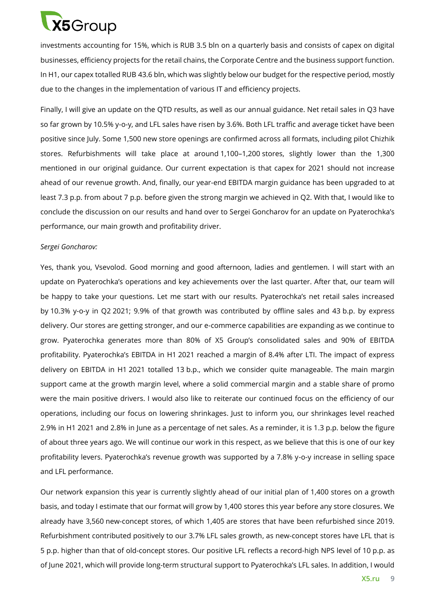

investments accounting for 15%, which is RUB 3.5 bln on a quarterly basis and consists of capex on digital businesses, efficiency projects for the retail chains, the Corporate Centre and the business support function. In H1, our capex totalled RUB 43.6 bln, which was slightly below our budget for the respective period, mostly due to the changes in the implementation of various IT and efficiency projects.

Finally, I will give an update on the QTD results, as well as our annual guidance. Net retail sales in Q3 have so far grown by 10.5% y-o-y, and LFL sales have risen by 3.6%. Both LFL traffic and average ticket have been positive since July. Some 1,500 new store openings are confirmed across all formats, including pilot Chizhik stores. Refurbishments will take place at around 1,100–1,200 stores, slightly lower than the 1,300 mentioned in our original guidance. Our current expectation is that capex for 2021 should not increase ahead of our revenue growth. And, finally, our year-end EBITDA margin guidance has been upgraded to at least 7.3 p.p. from about 7 p.p. before given the strong margin we achieved in Q2. With that, I would like to conclude the discussion on our results and hand over to Sergei Goncharov for an update on Pyaterochka's performance, our main growth and profitability driver.

#### *Sergei Goncharov:*

Yes, thank you, Vsevolod. Good morning and good afternoon, ladies and gentlemen. I will start with an update on Pyaterochka's operations and key achievements over the last quarter. After that, our team will be happy to take your questions. Let me start with our results. Pyaterochka's net retail sales increased by 10.3% y-o-y in Q2 2021; 9.9% of that growth was contributed by offline sales and 43 b.p. by express delivery. Our stores are getting stronger, and our e-commerce capabilities are expanding as we continue to grow. Pyaterochka generates more than 80% of X5 Group's consolidated sales and 90% of EBITDA profitability. Pyaterochka's EBITDA in H1 2021 reached a margin of 8.4% after LTI. The impact of express delivery on EBITDA in H1 2021 totalled 13 b.p., which we consider quite manageable. The main margin support came at the growth margin level, where a solid commercial margin and a stable share of promo were the main positive drivers. I would also like to reiterate our continued focus on the efficiency of our operations, including our focus on lowering shrinkages. Just to inform you, our shrinkages level reached 2.9% in H1 2021 and 2.8% in June as a percentage of net sales. As a reminder, it is 1.3 p.p. below the figure of about three years ago. We will continue our work in this respect, as we believe that this is one of our key profitability levers. Pyaterochka's revenue growth was supported by a 7.8% y-o-y increase in selling space and LFL performance.

Our network expansion this year is currently slightly ahead of our initial plan of 1,400 stores on a growth basis, and today I estimate that our format will grow by 1,400 stores this year before any store closures. We already have 3,560 new-concept stores, of which 1,405 are stores that have been refurbished since 2019. Refurbishment contributed positively to our 3.7% LFL sales growth, as new-concept stores have LFL that is 5 p.p. higher than that of old-concept stores. Our positive LFL reflects a record-high NPS level of 10 p.p. as of June 2021, which will provide long-term structural support to Pyaterochka's LFL sales. In addition, I would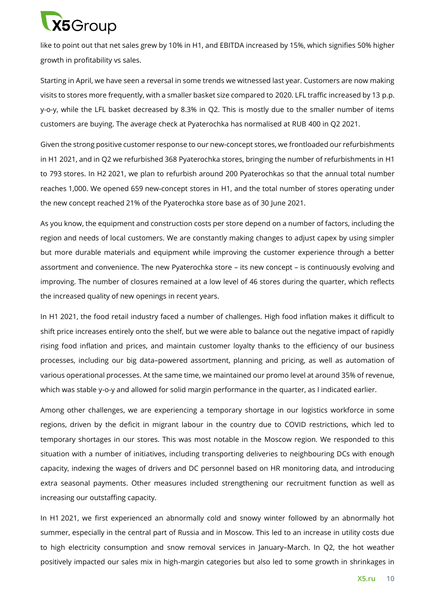# **X5**Group

like to point out that net sales grew by 10% in H1, and EBITDA increased by 15%, which signifies 50% higher growth in profitability vs sales.

Starting in April, we have seen a reversal in some trends we witnessed last year. Сustomers are now making visits to stores more frequently, with a smaller basket size compared to 2020. LFL traffic increased by 13 p.p. y-o-y, while the LFL basket decreased by 8.3% in Q2. This is mostly due to the smaller number of items customers are buying. The average check at Pyaterochka has normalised at RUB 400 in Q2 2021.

Given the strong positive customer response to our new-concept stores, we frontloaded our refurbishments in H1 2021, and in Q2 we refurbished 368 Pyaterochka stores, bringing the number of refurbishments in H1 to 793 stores. In H2 2021, we plan to refurbish around 200 Pyaterochkas so that the annual total number reaches 1,000. We opened 659 new-concept stores in H1, and the total number of stores operating under the new concept reached 21% of the Pyaterochka store base as of 30 June 2021.

As you know, the equipment and construction costs per store depend on a number of factors, including the region and needs of local customers. We are constantly making changes to adjust capex by using simpler but more durable materials and equipment while improving the customer experience through a better assortment and convenience. The new Pyaterochka store – its new concept – is continuously evolving and improving. The number of closures remained at a low level of 46 stores during the quarter, which reflects the increased quality of new openings in recent years.

In H1 2021, the food retail industry faced a number of challenges. High food inflation makes it difficult to shift price increases entirely onto the shelf, but we were able to balance out the negative impact of rapidly rising food inflation and prices, and maintain customer loyalty thanks to the efficiency of our business processes, including our big data–powered assortment, planning and pricing, as well as automation of various operational processes. At the same time, we maintained our promo level at around 35% of revenue, which was stable y-o-y and allowed for solid margin performance in the quarter, as I indicated earlier.

Among other challenges, we are experiencing a temporary shortage in our logistics workforce in some regions, driven by the deficit in migrant labour in the country due to COVID restrictions, which led to temporary shortages in our stores. This was most notable in the Moscow region. We responded to this situation with a number of initiatives, including transporting deliveries to neighbouring DCs with enough capacity, indexing the wages of drivers and DC personnel based on HR monitoring data, and introducing extra seasonal payments. Other measures included strengthening our recruitment function as well as increasing our outstaffing capacity.

In H1 2021, we first experienced an abnormally cold and snowy winter followed by an abnormally hot summer, especially in the central part of Russia and in Moscow. This led to an increase in utility costs due to high electricity consumption and snow removal services in January–March. In Q2, the hot weather positively impacted our sales mix in high-margin categories but also led to some growth in shrinkages in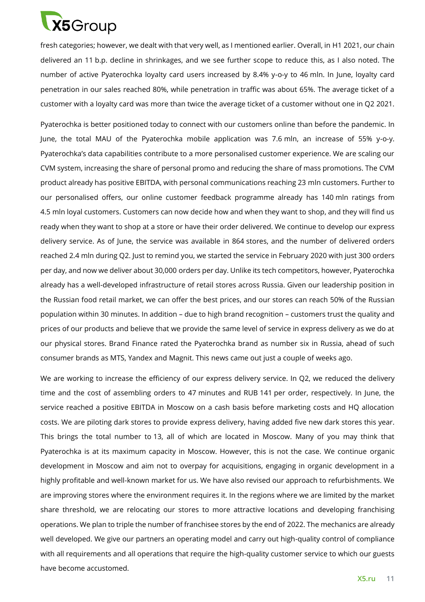

fresh categories; however, we dealt with that very well, as I mentioned earlier. Overall, in H1 2021, our chain delivered an 11 b.p. decline in shrinkages, and we see further scope to reduce this, as I also noted. The number of active Pyaterochka loyalty card users increased by 8.4% y-o-y to 46 mln. In June, loyalty card penetration in our sales reached 80%, while penetration in traffic was about 65%. The average ticket of a customer with a loyalty card was more than twice the average ticket of a customer without one in Q2 2021.

Pyaterochka is better positioned today to connect with our customers online than before the pandemic. In June, the total MAU of the Pyaterochka mobile application was 7.6 mln, an increase of 55% y-o-y. Pyaterochka's data capabilities contribute to a more personalised customer experience. We are scaling our CVM system, increasing the share of personal promo and reducing the share of mass promotions. The CVM product already has positive EBITDA, with personal communications reaching 23 mln customers. Further to our personalised offers, our online customer feedback programme already has 140 mln ratings from 4.5 mln loyal customers. Customers can now decide how and when they want to shop, and they will find us ready when they want to shop at a store or have their order delivered. We continue to develop our express delivery service. As of June, the service was available in 864 stores, and the number of delivered orders reached 2.4 mln during Q2. Just to remind you, we started the service in February 2020 with just 300 orders per day, and now we deliver about 30,000 orders per day. Unlike its tech competitors, however, Pyaterochka already has a well-developed infrastructure of retail stores across Russia. Given our leadership position in the Russian food retail market, we can offer the best prices, and our stores can reach 50% of the Russian population within 30 minutes. In addition – due to high brand recognition – customers trust the quality and prices of our products and believe that we provide the same level of service in express delivery as we do at our physical stores. Brand Finance rated the Pyaterochka brand as number six in Russia, ahead of such consumer brands as MTS, Yandex and Magnit. This news came out just a couple of weeks ago.

We are working to increase the efficiency of our express delivery service. In Q2, we reduced the delivery time and the cost of assembling orders to 47 minutes and RUB 141 per order, respectively. In June, the service reached a positive EBITDA in Moscow on a cash basis before marketing costs and HQ allocation costs. We are piloting dark stores to provide express delivery, having added five new dark stores this year. This brings the total number to 13, all of which are located in Moscow. Many of you may think that Pyaterochka is at its maximum capacity in Moscow. However, this is not the case. We continue organic development in Moscow and aim not to overpay for acquisitions, engaging in organic development in a highly profitable and well-known market for us. We have also revised our approach to refurbishments. We are improving stores where the environment requires it. In the regions where we are limited by the market share threshold, we are relocating our stores to more attractive locations and developing franchising operations. We plan to triple the number of franchisee stores by the end of 2022. The mechanics are already well developed. We give our partners an operating model and carry out high-quality control of compliance with all requirements and all operations that require the high-quality customer service to which our guests have become accustomed.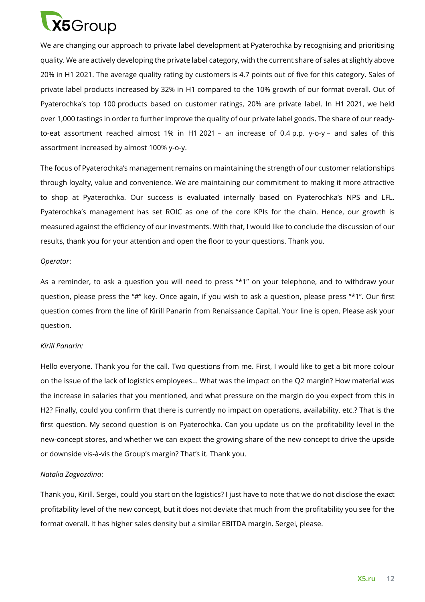

We are changing our approach to private label development at Pyaterochka by recognising and prioritising quality. We are actively developing the private label category, with the current share of sales at slightly above 20% in H1 2021. The average quality rating by customers is 4.7 points out of five for this category. Sales of private label products increased by 32% in H1 compared to the 10% growth of our format overall. Out of Pyaterochka's top 100 products based on customer ratings, 20% are private label. In H1 2021, we held over 1,000 tastings in order to further improve the quality of our private label goods. The share of our readyto-eat assortment reached almost 1% in H1 2021 – an increase of 0.4 p.p. y-o-y – and sales of this assortment increased by almost 100% y-o-y.

The focus of Pyaterochka's management remains on maintaining the strength of our customer relationships through loyalty, value and convenience. We are maintaining our commitment to making it more attractive to shop at Pyaterochka. Our success is evaluated internally based on Pyaterochka's NPS and LFL. Pyaterochka's management has set ROIC as one of the core KPIs for the chain. Hence, our growth is measured against the efficiency of our investments. With that, I would like to conclude the discussion of our results, thank you for your attention and open the floor to your questions. Thank you.

#### *Operator*:

As a reminder, to ask a question you will need to press "\*1" on your telephone, and to withdraw your question, please press the "#" key. Once again, if you wish to ask a question, please press "\*1". Our first question comes from the line of Kirill Panarin from Renaissance Capital. Your line is open. Please ask your question.

#### *Kirill Panarin:*

Hello everyone. Thank you for the call. Two questions from me. First, I would like to get a bit more colour on the issue of the lack of logistics employees... What was the impact on the Q2 margin? How material was the increase in salaries that you mentioned, and what pressure on the margin do you expect from this in H2? Finally, could you confirm that there is currently no impact on operations, availability, etc.? That is the first question. My second question is on Pyaterochka. Can you update us on the profitability level in the new-concept stores, and whether we can expect the growing share of the new concept to drive the upside or downside vis-à-vis the Group's margin? That's it. Thank you.

#### *Natalia Zagvozdina*:

Thank you, Kirill. Sergei, could you start on the logistics? I just have to note that we do not disclose the exact profitability level of the new concept, but it does not deviate that much from the profitability you see for the format overall. It has higher sales density but a similar EBITDA margin. Sergei, please.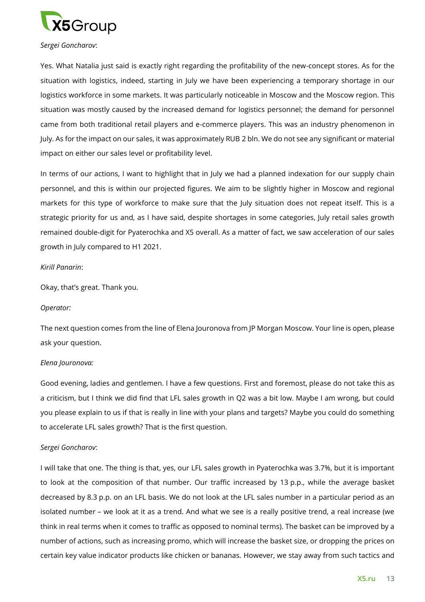

#### *Sergei Goncharov*:

Yes. What Natalia just said is exactly right regarding the profitability of the new-concept stores. As for the situation with logistics, indeed, starting in July we have been experiencing a temporary shortage in our logistics workforce in some markets. It was particularly noticeable in Moscow and the Moscow region. This situation was mostly caused by the increased demand for logistics personnel; the demand for personnel came from both traditional retail players and e-commerce players. This was an industry phenomenon in July. As for the impact on our sales, it was approximately RUB 2 bln. We do not see any significant or material impact on either our sales level or profitability level.

In terms of our actions, I want to highlight that in July we had a planned indexation for our supply chain personnel, and this is within our projected figures. We aim to be slightly higher in Moscow and regional markets for this type of workforce to make sure that the July situation does not repeat itself. This is a strategic priority for us and, as I have said, despite shortages in some categories, July retail sales growth remained double-digit for Pyaterochka and X5 overall. As a matter of fact, we saw acceleration of our sales growth in July compared to H1 2021.

#### *Kirill Panarin*:

Okay, that's great. Thank you.

#### *Operator:*

The next question comes from the line of Elena Jouronova from JP Morgan Moscow. Your line is open, please ask your question.

#### *Elena Jouronova:*

Good evening, ladies and gentlemen. I have a few questions. First and foremost, please do not take this as a criticism, but I think we did find that LFL sales growth in Q2 was a bit low. Maybe I am wrong, but could you please explain to us if that is really in line with your plans and targets? Maybe you could do something to accelerate LFL sales growth? That is the first question.

#### *Sergei Goncharov*:

I will take that one. The thing is that, yes, our LFL sales growth in Pyaterochka was 3.7%, but it is important to look at the composition of that number. Our traffic increased by 13 p.p., while the average basket decreased by 8.3 p.p. on an LFL basis. We do not look at the LFL sales number in a particular period as an isolated number – we look at it as a trend. And what we see is a really positive trend, a real increase (we think in real terms when it comes to traffic as opposed to nominal terms). The basket can be improved by a number of actions, such as increasing promo, which will increase the basket size, or dropping the prices on certain key value indicator products like chicken or bananas. However, we stay away from such tactics and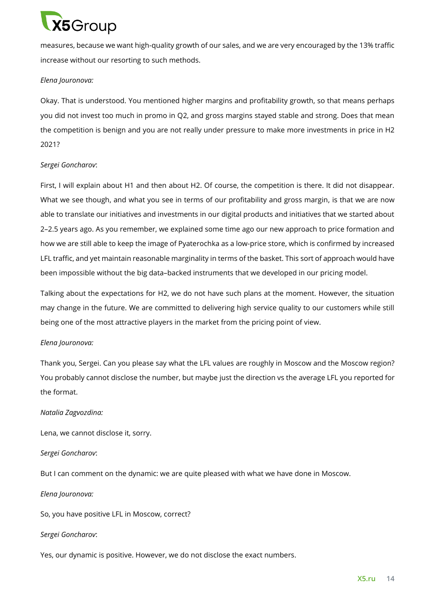

measures, because we want high-quality growth of our sales, and we are very encouraged by the 13% traffic increase without our resorting to such methods.

### *Elena Jouronova:*

Okay. That is understood. You mentioned higher margins and profitability growth, so that means perhaps you did not invest too much in promo in Q2, and gross margins stayed stable and strong. Does that mean the competition is benign and you are not really under pressure to make more investments in price in H2 2021?

# *Sergei Goncharov*:

First, I will explain about H1 and then about H2. Of course, the competition is there. It did not disappear. What we see though, and what you see in terms of our profitability and gross margin, is that we are now able to translate our initiatives and investments in our digital products and initiatives that we started about 2–2.5 years ago. As you remember, we explained some time ago our new approach to price formation and how we are still able to keep the image of Pyaterochka as a low-price store, which is confirmed by increased LFL traffic, and yet maintain reasonable marginality in terms of the basket. This sort of approach would have been impossible without the big data–backed instruments that we developed in our pricing model.

Talking about the expectations for H2, we do not have such plans at the moment. However, the situation may change in the future. We are committed to delivering high service quality to our customers while still being one of the most attractive players in the market from the pricing point of view.

#### *Elena Jouronova:*

Thank you, Sergei. Can you please say what the LFL values are roughly in Moscow and the Moscow region? You probably cannot disclose the number, but maybe just the direction vs the average LFL you reported for the format.

#### *Natalia Zagvozdina:*

Lena, we cannot disclose it, sorry.

#### *Sergei Goncharov*:

But I can comment on the dynamic: we are quite pleased with what we have done in Moscow.

*Elena Jouronova:*

So, you have positive LFL in Moscow, correct?

#### *Sergei Goncharov*:

Yes, our dynamic is positive. However, we do not disclose the exact numbers.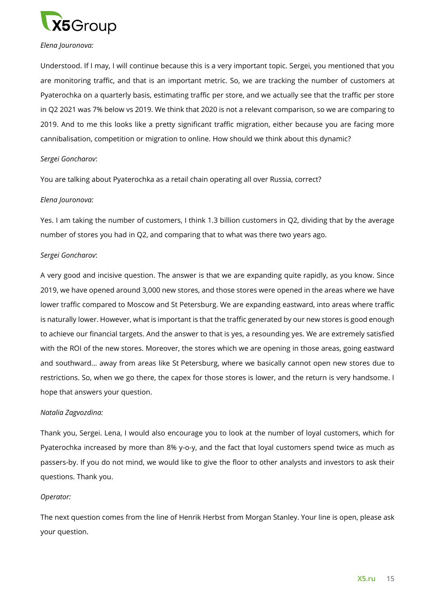

#### *Elena Jouronova:*

Understood. If I may, I will continue because this is a very important topic. Sergei, you mentioned that you are monitoring traffic, and that is an important metric. So, we are tracking the number of customers at Pyaterochka on a quarterly basis, estimating traffic per store, and we actually see that the traffic per store in Q2 2021 was 7% below vs 2019. We think that 2020 is not a relevant comparison, so we are comparing to 2019. And to me this looks like a pretty significant traffic migration, either because you are facing more cannibalisation, competition or migration to online. How should we think about this dynamic?

# *Sergei Goncharov*:

You are talking about Pyaterochka as a retail chain operating all over Russia, correct?

# *Elena Jouronova:*

Yes. I am taking the number of customers, I think 1.3 billion customers in Q2, dividing that by the average number of stores you had in Q2, and comparing that to what was there two years ago.

# *Sergei Goncharov*:

A very good and incisive question. The answer is that we are expanding quite rapidly, as you know. Since 2019, we have opened around 3,000 new stores, and those stores were opened in the areas where we have lower traffic compared to Moscow and St Petersburg. We are expanding eastward, into areas where traffic is naturally lower. However, what is important is that the traffic generated by our new stores is good enough to achieve our financial targets. And the answer to that is yes, a resounding yes. We are extremely satisfied with the ROI of the new stores. Moreover, the stores which we are opening in those areas, going eastward and southward… away from areas like St Petersburg, where we basically cannot open new stores due to restrictions. So, when we go there, the capex for those stores is lower, and the return is very handsome. I hope that answers your question.

#### *Natalia Zagvozdina:*

Thank you, Sergei. Lena, I would also encourage you to look at the number of loyal customers, which for Pyaterochka increased by more than 8% y-o-y, and the fact that loyal customers spend twice as much as passers-by. If you do not mind, we would like to give the floor to other analysts and investors to ask their questions. Thank you.

#### *Operator:*

The next question comes from the line of Henrik Herbst from Morgan Stanley. Your line is open, please ask your question.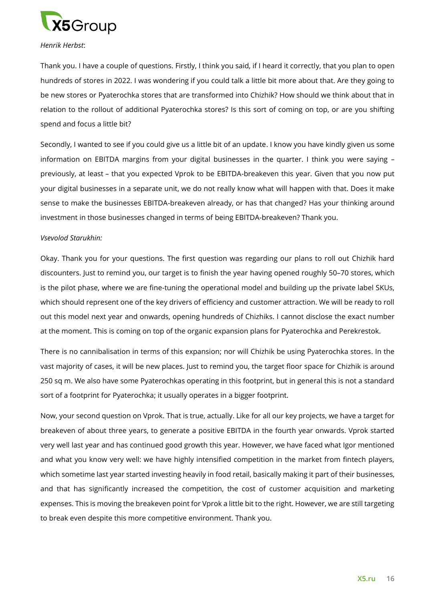

#### *Henrik Herbst*:

Thank you. I have a couple of questions. Firstly, I think you said, if I heard it correctly, that you plan to open hundreds of stores in 2022. I was wondering if you could talk a little bit more about that. Are they going to be new stores or Pyaterochka stores that are transformed into Chizhik? How should we think about that in relation to the rollout of additional Pyaterochka stores? Is this sort of coming on top, or are you shifting spend and focus a little bit?

Secondly, I wanted to see if you could give us a little bit of an update. I know you have kindly given us some information on EBITDA margins from your digital businesses in the quarter. I think you were saying – previously, at least – that you expected Vprok to be EBITDA-breakeven this year. Given that you now put your digital businesses in a separate unit, we do not really know what will happen with that. Does it make sense to make the businesses EBITDA-breakeven already, or has that changed? Has your thinking around investment in those businesses changed in terms of being EBITDA-breakeven? Thank you.

#### *Vsevolod Starukhin:*

Okay. Thank you for your questions. The first question was regarding our plans to roll out Chizhik hard discounters. Just to remind you, our target is to finish the year having opened roughly 50–70 stores, which is the pilot phase, where we are fine-tuning the operational model and building up the private label SKUs, which should represent one of the key drivers of efficiency and customer attraction. We will be ready to roll out this model next year and onwards, opening hundreds of Chizhiks. I cannot disclose the exact number at the moment. This is coming on top of the organic expansion plans for Pyaterochka and Perekrestok.

There is no cannibalisation in terms of this expansion; nor will Chizhik be using Pyaterochka stores. In the vast majority of cases, it will be new places. Just to remind you, the target floor space for Chizhik is around 250 sq m. We also have some Pyaterochkas operating in this footprint, but in general this is not a standard sort of a footprint for Pyaterochka; it usually operates in a bigger footprint.

Now, your second question on Vprok. That is true, actually. Like for all our key projects, we have a target for breakeven of about three years, to generate a positive EBITDA in the fourth year onwards. Vprok started very well last year and has continued good growth this year. However, we have faced what Igor mentioned and what you know very well: we have highly intensified competition in the market from fintech players, which sometime last year started investing heavily in food retail, basically making it part of their businesses, and that has significantly increased the competition, the cost of customer acquisition and marketing expenses. This is moving the breakeven point for Vprok a little bit to the right. However, we are still targeting to break even despite this more competitive environment. Thank you.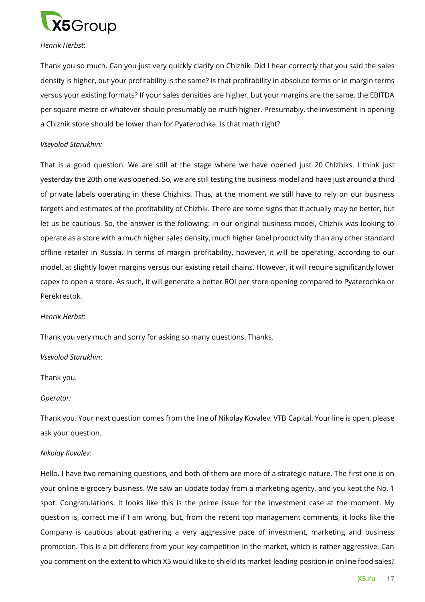

### *Henrik Herbst*:

Thank you so much. Can you just very quickly clarify on Chizhik. Did I hear correctly that you said the sales density is higher, but your profitability is the same? Is that profitability in absolute terms or in margin terms versus your existing formats? If your sales densities are higher, but your margins are the same, the EBITDA per square metre or whatever should presumably be much higher. Presumably, the investment in opening a Chizhik store should be lower than for Pyaterochka. Is that math right?

# *Vsevolod Starukhin:*

That is a good question. We are still at the stage where we have opened just 20 Chizhiks. I think just yesterday the 20th one was opened. So, we are still testing the business model and have just around a third of private labels operating in these Chizhiks. Thus, at the moment we still have to rely on our business targets and estimates of the profitability of Chizhik. There are some signs that it actually may be better, but let us be cautious. So, the answer is the following: in our original business model, Chizhik was looking to operate as a store with a much higher sales density, much higher label productivity than any other standard offline retailer in Russia. In terms of margin profitability, however, it will be operating, according to our model, at slightly lower margins versus our existing retail chains. However, it will require significantly lower capex to open a store. As such, it will generate a better ROI per store opening compared to Pyaterochka or Perekrestok.

#### *Henrik Herbst:*

Thank you very much and sorry for asking so many questions. Thanks.

#### *Vsevolod Starukhin*:

Thank you.

#### *Operator:*

Thank you. Your next question comes from the line of Nikolay Kovalev, VTB Capital. Your line is open, please ask your question.

#### *Nikolay Kovalev:*

Hello. I have two remaining questions, and both of them are more of a strategic nature. The first one is on your online e-grocery business. We saw an update today from a marketing agency, and you kept the No. 1 spot. Congratulations. It looks like this is the prime issue for the investment case at the moment. My question is, correct me if I am wrong, but, from the recent top management comments, it looks like the Company is cautious about gathering a very aggressive pace of investment, marketing and business promotion. This is a bit different from your key competition in the market, which is rather aggressive. Can you comment on the extent to which X5 would like to shield its market-leading position in online food sales?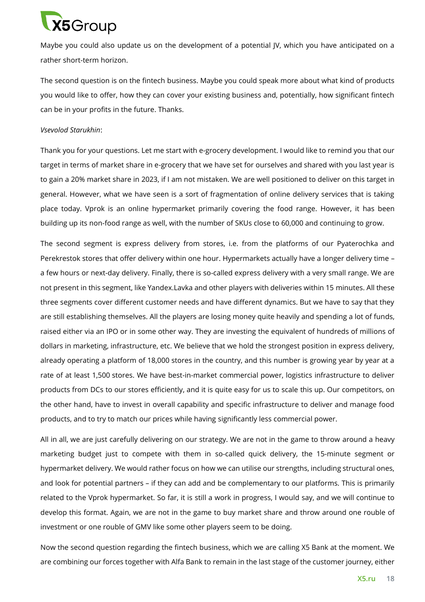

Maybe you could also update us on the development of a potential JV, which you have anticipated on a rather short-term horizon.

The second question is on the fintech business. Maybe you could speak more about what kind of products you would like to offer, how they can cover your existing business and, potentially, how significant fintech can be in your profits in the future. Thanks.

#### *Vsevolod Starukhin*:

Thank you for your questions. Let me start with e-grocery development. I would like to remind you that our target in terms of market share in e-grocery that we have set for ourselves and shared with you last year is to gain a 20% market share in 2023, if I am not mistaken. We are well positioned to deliver on this target in general. However, what we have seen is a sort of fragmentation of online delivery services that is taking place today. Vprok is an online hypermarket primarily covering the food range. However, it has been building up its non-food range as well, with the number of SKUs close to 60,000 and continuing to grow.

The second segment is express delivery from stores, i.e. from the platforms of our Pyaterochka and Perekrestok stores that offer delivery within one hour. Hypermarkets actually have a longer delivery time – a few hours or next-day delivery. Finally, there is so-called express delivery with a very small range. We are not present in this segment, like Yandex.Lavka and other players with deliveries within 15 minutes. All these three segments cover different customer needs and have different dynamics. But we have to say that they are still establishing themselves. All the players are losing money quite heavily and spending a lot of funds, raised either via an IPO or in some other way. They are investing the equivalent of hundreds of millions of dollars in marketing, infrastructure, etc. We believe that we hold the strongest position in express delivery, already operating a platform of 18,000 stores in the country, and this number is growing year by year at a rate of at least 1,500 stores. We have best-in-market commercial power, logistics infrastructure to deliver products from DCs to our stores efficiently, and it is quite easy for us to scale this up. Our competitors, on the other hand, have to invest in overall capability and specific infrastructure to deliver and manage food products, and to try to match our prices while having significantly less commercial power.

All in all, we are just carefully delivering on our strategy. We are not in the game to throw around a heavy marketing budget just to compete with them in so-called quick delivery, the 15-minute segment or hypermarket delivery. We would rather focus on how we can utilise our strengths, including structural ones, and look for potential partners – if they can add and be complementary to our platforms. This is primarily related to the Vprok hypermarket. So far, it is still a work in progress, I would say, and we will continue to develop this format. Again, we are not in the game to buy market share and throw around one rouble of investment or one rouble of GMV like some other players seem to be doing.

Now the second question regarding the fintech business, which we are calling X5 Bank at the moment. We are combining our forces together with Alfa Bank to remain in the last stage of the customer journey, either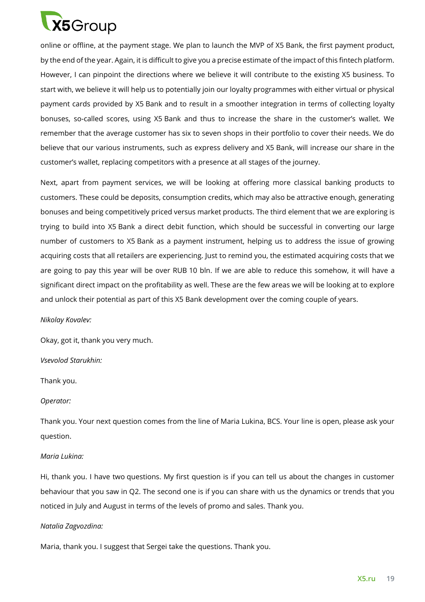

online or offline, at the payment stage. We plan to launch the MVP of X5 Bank, the first payment product, by the end of the year. Again, it is difficult to give you a precise estimate of the impact of this fintech platform. However, I can pinpoint the directions where we believe it will contribute to the existing X5 business. To start with, we believe it will help us to potentially join our loyalty programmes with either virtual or physical payment cards provided by X5 Bank and to result in a smoother integration in terms of collecting loyalty bonuses, so-called scores, using X5 Bank and thus to increase the share in the customer's wallet. We remember that the average customer has six to seven shops in their portfolio to cover their needs. We do believe that our various instruments, such as express delivery and X5 Bank, will increase our share in the customer's wallet, replacing competitors with a presence at all stages of the journey.

Next, apart from payment services, we will be looking at offering more classical banking products to customers. These could be deposits, consumption credits, which may also be attractive enough, generating bonuses and being competitively priced versus market products. The third element that we are exploring is trying to build into X5 Bank a direct debit function, which should be successful in converting our large number of customers to X5 Bank as a payment instrument, helping us to address the issue of growing acquiring costs that all retailers are experiencing. Just to remind you, the estimated acquiring costs that we are going to pay this year will be over RUB 10 bln. If we are able to reduce this somehow, it will have a significant direct impact on the profitability as well. These are the few areas we will be looking at to explore and unlock their potential as part of this X5 Bank development over the coming couple of years.

#### *Nikolay Kovalev:*

Okay, got it, thank you very much.

#### *Vsevolod Starukhin:*

Thank you.

#### *Operator:*

Thank you. Your next question comes from the line of Maria Lukina, BCS. Your line is open, please ask your question.

#### *Maria Lukina:*

Hi, thank you. I have two questions. My first question is if you can tell us about the changes in customer behaviour that you saw in Q2. The second one is if you can share with us the dynamics or trends that you noticed in July and August in terms of the levels of promo and sales. Thank you.

#### *Natalia Zagvozdina:*

Maria, thank you. I suggest that Sergei take the questions. Thank you.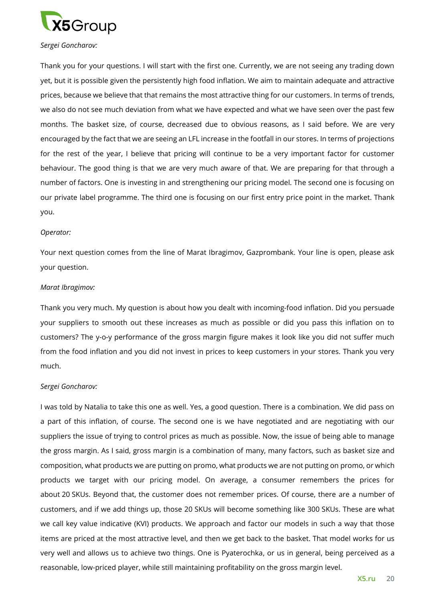

#### *Sergei Goncharov:*

Thank you for your questions. I will start with the first one. Currently, we are not seeing any trading down yet, but it is possible given the persistently high food inflation. We aim to maintain adequate and attractive prices, because we believe that that remains the most attractive thing for our customers. In terms of trends, we also do not see much deviation from what we have expected and what we have seen over the past few months. The basket size, of course, decreased due to obvious reasons, as I said before. We are very encouraged by the fact that we are seeing an LFL increase in the footfall in our stores. In terms of projections for the rest of the year, I believe that pricing will continue to be a very important factor for customer behaviour. The good thing is that we are very much aware of that. We are preparing for that through a number of factors. One is investing in and strengthening our pricing model. The second one is focusing on our private label programme. The third one is focusing on our first entry price point in the market. Thank you.

#### *Operator:*

Your next question comes from the line of Marat Ibragimov, Gazprombank. Your line is open, please ask your question.

#### *Marat Ibragimov:*

Thank you very much. My question is about how you dealt with incoming-food inflation. Did you persuade your suppliers to smooth out these increases as much as possible or did you pass this inflation on to customers? The y-o-y performance of the gross margin figure makes it look like you did not suffer much from the food inflation and you did not invest in prices to keep customers in your stores. Thank you very much.

#### *Sergei Goncharov:*

I was told by Natalia to take this one as well. Yes, a good question. There is a combination. We did pass on a part of this inflation, of course. The second one is we have negotiated and are negotiating with our suppliers the issue of trying to control prices as much as possible. Now, the issue of being able to manage the gross margin. As I said, gross margin is a combination of many, many factors, such as basket size and composition, what products we are putting on promo, what products we are not putting on promo, or which products we target with our pricing model. On average, a consumer remembers the prices for about 20 SKUs. Beyond that, the customer does not remember prices. Of course, there are a number of customers, and if we add things up, those 20 SKUs will become something like 300 SKUs. These are what we call key value indicative (KVI) products. We approach and factor our models in such a way that those items are priced at the most attractive level, and then we get back to the basket. That model works for us very well and allows us to achieve two things. One is Pyaterochka, or us in general, being perceived as a reasonable, low-priced player, while still maintaining profitability on the gross margin level.